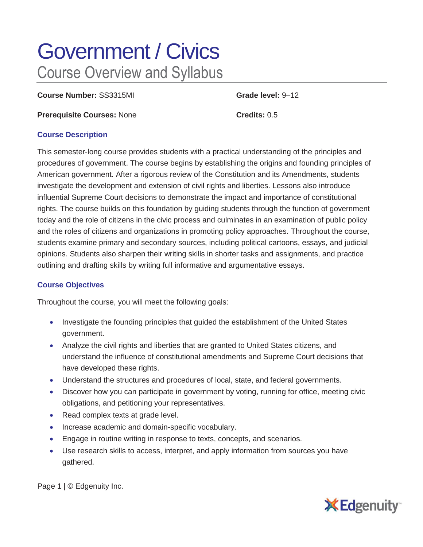# Government / Civics Course Overview and Syllabus

**Course Number:** SS3315MI **Grade level:** 9–12

**Prerequisite Courses:** None **Credits:** 0.5

## **Course Description**

This semester-long course provides students with a practical understanding of the principles and procedures of government. The course begins by establishing the origins and founding principles of American government. After a rigorous review of the Constitution and its Amendments, students investigate the development and extension of civil rights and liberties. Lessons also introduce influential Supreme Court decisions to demonstrate the impact and importance of constitutional rights. The course builds on this foundation by guiding students through the function of government today and the role of citizens in the civic process and culminates in an examination of public policy and the roles of citizens and organizations in promoting policy approaches. Throughout the course, students examine primary and secondary sources, including political cartoons, essays, and judicial opinions. Students also sharpen their writing skills in shorter tasks and assignments, and practice outlining and drafting skills by writing full informative and argumentative essays.

# **Course Objectives**

Throughout the course, you will meet the following goals:

- Investigate the founding principles that guided the establishment of the United States government.
- Analyze the civil rights and liberties that are granted to United States citizens, and understand the influence of constitutional amendments and Supreme Court decisions that have developed these rights.
- Understand the structures and procedures of local, state, and federal governments.
- Discover how you can participate in government by voting, running for office, meeting civic obligations, and petitioning your representatives.
- Read complex texts at grade level.
- Increase academic and domain-specific vocabulary.
- Engage in routine writing in response to texts, concepts, and scenarios.
- Use research skills to access, interpret, and apply information from sources you have gathered.

Page 1 | © Edgenuity Inc.